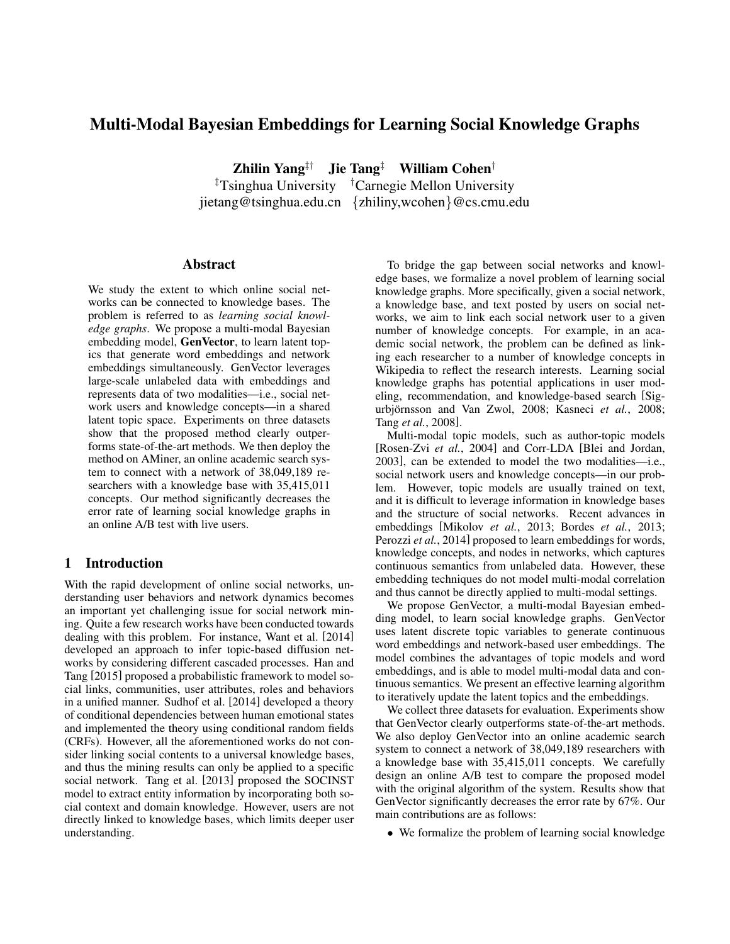# Multi-Modal Bayesian Embeddings for Learning Social Knowledge Graphs

Zhilin Yang<sup>‡†</sup> Jie Tang<sup>‡</sup> William Cohen<sup>†</sup> ‡Tsinghua University †Carnegie Mellon University

jietang@tsinghua.edu.cn {zhiliny,wcohen}@cs.cmu.edu

## Abstract

We study the extent to which online social networks can be connected to knowledge bases. The problem is referred to as *learning social knowledge graphs*. We propose a multi-modal Bayesian embedding model, GenVector, to learn latent topics that generate word embeddings and network embeddings simultaneously. GenVector leverages large-scale unlabeled data with embeddings and represents data of two modalities—i.e., social network users and knowledge concepts—in a shared latent topic space. Experiments on three datasets show that the proposed method clearly outperforms state-of-the-art methods. We then deploy the method on AMiner, an online academic search system to connect with a network of 38,049,189 researchers with a knowledge base with 35,415,011 concepts. Our method significantly decreases the error rate of learning social knowledge graphs in an online A/B test with live users.

## 1 Introduction

With the rapid development of online social networks, understanding user behaviors and network dynamics becomes an important yet challenging issue for social network mining. Quite a few research works have been conducted towards dealing with this problem. For instance, Want et al. [2014] developed an approach to infer topic-based diffusion networks by considering different cascaded processes. Han and Tang [2015] proposed a probabilistic framework to model social links, communities, user attributes, roles and behaviors in a unified manner. Sudhof et al. [2014] developed a theory of conditional dependencies between human emotional states and implemented the theory using conditional random fields (CRFs). However, all the aforementioned works do not consider linking social contents to a universal knowledge bases, and thus the mining results can only be applied to a specific social network. Tang et al. [2013] proposed the SOCINST model to extract entity information by incorporating both social context and domain knowledge. However, users are not directly linked to knowledge bases, which limits deeper user understanding.

To bridge the gap between social networks and knowledge bases, we formalize a novel problem of learning social knowledge graphs. More specifically, given a social network, a knowledge base, and text posted by users on social networks, we aim to link each social network user to a given number of knowledge concepts. For example, in an academic social network, the problem can be defined as linking each researcher to a number of knowledge concepts in Wikipedia to reflect the research interests. Learning social knowledge graphs has potential applications in user modeling, recommendation, and knowledge-based search [Sigurbjörnsson and Van Zwol, 2008; Kasneci et al., 2008; Tang *et al.*, 2008].

Multi-modal topic models, such as author-topic models [Rosen-Zvi *et al.*, 2004] and Corr-LDA [Blei and Jordan, 2003], can be extended to model the two modalities—i.e., social network users and knowledge concepts—in our problem. However, topic models are usually trained on text, and it is difficult to leverage information in knowledge bases and the structure of social networks. Recent advances in embeddings [Mikolov *et al.*, 2013; Bordes *et al.*, 2013; Perozzi *et al.*, 2014] proposed to learn embeddings for words, knowledge concepts, and nodes in networks, which captures continuous semantics from unlabeled data. However, these embedding techniques do not model multi-modal correlation and thus cannot be directly applied to multi-modal settings.

We propose GenVector, a multi-modal Bayesian embedding model, to learn social knowledge graphs. GenVector uses latent discrete topic variables to generate continuous word embeddings and network-based user embeddings. The model combines the advantages of topic models and word embeddings, and is able to model multi-modal data and continuous semantics. We present an effective learning algorithm to iteratively update the latent topics and the embeddings.

We collect three datasets for evaluation. Experiments show that GenVector clearly outperforms state-of-the-art methods. We also deploy GenVector into an online academic search system to connect a network of 38,049,189 researchers with a knowledge base with 35,415,011 concepts. We carefully design an online A/B test to compare the proposed model with the original algorithm of the system. Results show that GenVector significantly decreases the error rate by 67%. Our main contributions are as follows:

• We formalize the problem of learning social knowledge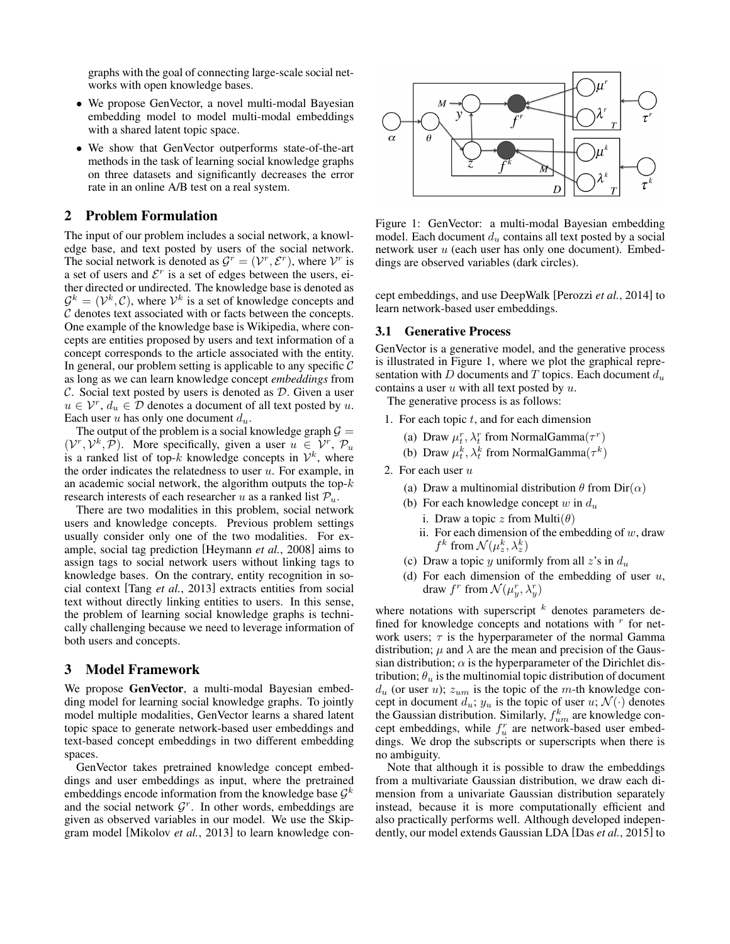graphs with the goal of connecting large-scale social networks with open knowledge bases.

- We propose GenVector, a novel multi-modal Bayesian embedding model to model multi-modal embeddings with a shared latent topic space.
- We show that GenVector outperforms state-of-the-art methods in the task of learning social knowledge graphs on three datasets and significantly decreases the error rate in an online A/B test on a real system.

## 2 Problem Formulation

The input of our problem includes a social network, a knowledge base, and text posted by users of the social network. The social network is denoted as  $\mathcal{G}^r = (\mathcal{V}^r, \mathcal{E}^r)$ , where  $\mathcal{V}^r$  is a set of users and  $\mathcal{E}^r$  is a set of edges between the users, either directed or undirected. The knowledge base is denoted as  $\mathcal{G}^k = (\mathcal{V}^k, \mathcal{C})$ , where  $\mathcal{V}^k$  is a set of knowledge concepts and  $C$  denotes text associated with or facts between the concepts. One example of the knowledge base is Wikipedia, where concepts are entities proposed by users and text information of a concept corresponds to the article associated with the entity. In general, our problem setting is applicable to any specific  $C$ as long as we can learn knowledge concept *embeddings* from  $\mathcal C$ . Social text posted by users is denoted as  $\mathcal D$ . Given a user  $u \in \mathcal{V}^r$ ,  $d_u \in \mathcal{D}$  denotes a document of all text posted by u. Each user u has only one document  $d_u$ .

The output of the problem is a social knowledge graph  $\mathcal{G} =$  $(V^r, V^k, \overline{P})$ . More specifically, given a user  $u \in V^r$ ,  $\mathcal{P}_u$ is a ranked list of top-k knowledge concepts in  $\mathcal{V}^k$ , where the order indicates the relatedness to user  $u$ . For example, in an academic social network, the algorithm outputs the top- $k$ research interests of each researcher u as a ranked list  $P_u$ .

There are two modalities in this problem, social network users and knowledge concepts. Previous problem settings usually consider only one of the two modalities. For example, social tag prediction [Heymann *et al.*, 2008] aims to assign tags to social network users without linking tags to knowledge bases. On the contrary, entity recognition in social context [Tang *et al.*, 2013] extracts entities from social text without directly linking entities to users. In this sense, the problem of learning social knowledge graphs is technically challenging because we need to leverage information of both users and concepts.

### 3 Model Framework

We propose GenVector, a multi-modal Bayesian embedding model for learning social knowledge graphs. To jointly model multiple modalities, GenVector learns a shared latent topic space to generate network-based user embeddings and text-based concept embeddings in two different embedding spaces.

GenVector takes pretrained knowledge concept embeddings and user embeddings as input, where the pretrained embeddings encode information from the knowledge base  $\mathcal{G}^k$ and the social network  $\mathcal{G}^r$ . In other words, embeddings are given as observed variables in our model. We use the Skipgram model [Mikolov *et al.*, 2013] to learn knowledge con-



Figure 1: GenVector: a multi-modal Bayesian embedding model. Each document  $d_u$  contains all text posted by a social network user  $u$  (each user has only one document). Embeddings are observed variables (dark circles).

cept embeddings, and use DeepWalk [Perozzi *et al.*, 2014] to learn network-based user embeddings.

## 3.1 Generative Process

GenVector is a generative model, and the generative process is illustrated in Figure 1, where we plot the graphical representation with D documents and T topics. Each document  $d_u$ contains a user  $u$  with all text posted by  $u$ .

The generative process is as follows:

- 1. For each topic  $t$ , and for each dimension
	- (a) Draw  $\mu_t^r$ ,  $\lambda_t^r$  from NormalGamma $(\tau^r)$
	- (b) Draw  $\mu_t^k$ ,  $\lambda_t^k$  from NormalGamma $(\tau^k)$
- 2. For each user  $u$ 
	- (a) Draw a multinomial distribution  $\theta$  from Dir( $\alpha$ )
	- (b) For each knowledge concept  $w$  in  $d_u$ 
		- i. Draw a topic z from Multi $(\theta)$
		- ii. For each dimension of the embedding of  $w$ , draw  $f^k$  from  $\mathcal{N}(\mu_z^k, \lambda_z^k)$
	- (c) Draw a topic y uniformly from all  $z$ 's in  $d_u$
	- (d) For each dimension of the embedding of user  $u$ , draw  $f^r$  from  $\mathcal{N}(\mu_y^r, \lambda_y^r)$

where notations with superscript  $k$  denotes parameters defined for knowledge concepts and notations with  $r$  for network users;  $\tau$  is the hyperparameter of the normal Gamma distribution;  $\mu$  and  $\lambda$  are the mean and precision of the Gaussian distribution;  $\alpha$  is the hyperparameter of the Dirichlet distribution;  $\theta_u$  is the multinomial topic distribution of document  $d_u$  (or user u);  $z_{um}$  is the topic of the m-th knowledge concept in document  $d_u$ ;  $y_u$  is the topic of user  $u$ ;  $\mathcal{N}(\cdot)$  denotes the Gaussian distribution. Similarly,  $f_{um}^k$  are knowledge concept embeddings, while  $f_u^r$  are network-based user embeddings. We drop the subscripts or superscripts when there is no ambiguity.

Note that although it is possible to draw the embeddings from a multivariate Gaussian distribution, we draw each dimension from a univariate Gaussian distribution separately instead, because it is more computationally efficient and also practically performs well. Although developed independently, our model extends Gaussian LDA [Das *et al.*, 2015] to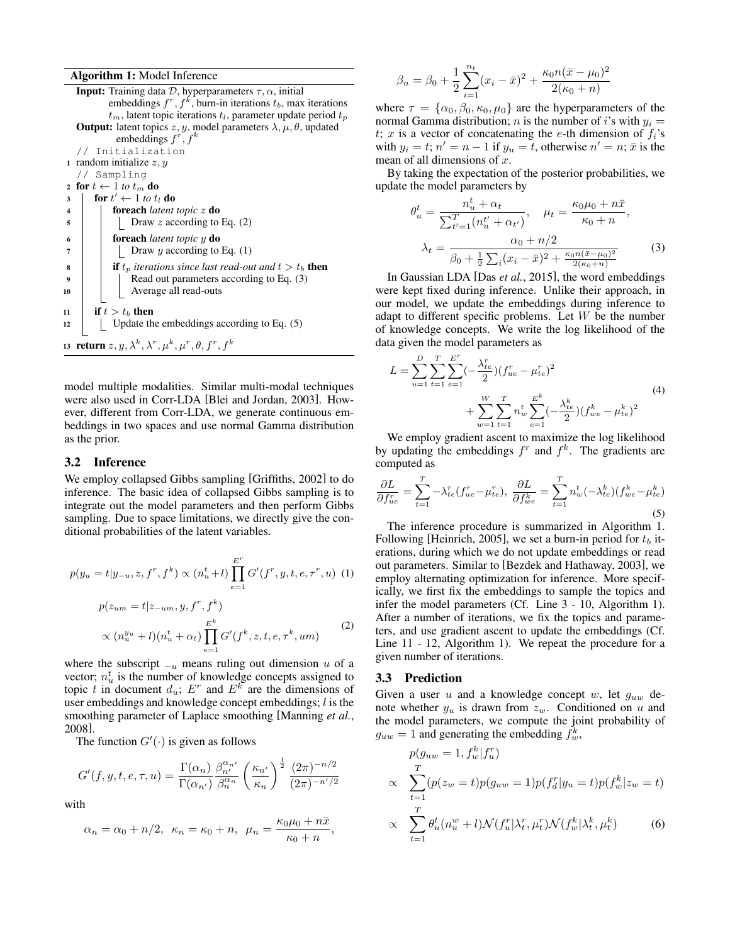Algorithm 1: Model Inference

**Input:** Training data  $D$ , hyperparameters  $\tau$ ,  $\alpha$ , initial embeddings  $f^r, f^k$ , burn-in iterations  $t_b$ , max iterations  $t_m$ , latent topic iterations  $t_l$ , parameter update period  $t_p$ **Output:** latent topics  $z, y$ , model parameters  $\lambda, \mu, \theta$ , updated embeddings  $f^r, f^k$ // Initialization 1 random initialize  $z, y$ // Sampling 2 for  $t \leftarrow 1$  to  $t_m$  do 3  $\int$  for  $t' \leftarrow 1$  to  $t_l$  do <sup>4</sup> foreach *latent topic* z do  $\mathfrak{s}$  | | Draw z according to Eq. (2) <sup>6</sup> foreach *latent topic* y do <sup>7</sup> Draw y according to Eq. (1) **if**  $t_p$  *iterations since last read-out and*  $t > t_b$  **then** Read out parameters according to Eq. (3) 10 | | | Average all read-outs 11 if  $t > t_b$  then  $12$  | Update the embeddings according to Eq. (5) 13  $\;$ return  $z,y,\lambda^k,\lambda^r,\mu^k,\mu^r,\theta, f^r,f^k$ 

model multiple modalities. Similar multi-modal techniques were also used in Corr-LDA [Blei and Jordan, 2003]. However, different from Corr-LDA, we generate continuous embeddings in two spaces and use normal Gamma distribution as the prior.

#### 3.2 Inference

We employ collapsed Gibbs sampling [Griffiths, 2002] to do inference. The basic idea of collapsed Gibbs sampling is to integrate out the model parameters and then perform Gibbs sampling. Due to space limitations, we directly give the conditional probabilities of the latent variables.

$$
p(y_u = t | y_{-u}, z, f^r, f^k) \propto (n_u^t + l) \prod_{e=1}^{E^r} G'(f^r, y, t, e, \tau^r, u)
$$
 (1)  

$$
p(z_{um} = t | z_{-um}, y, f^r, f^k)
$$

$$
P(\lambda u_m - v | \lambda - u_m, y, y, y^{k})
$$
  
 
$$
\propto (n_u^{y_u} + l)(n_u^t + \alpha_t) \prod_{e=1}^{E^k} G'(f^k, z, t, e, \tau^k, um)
$$
 (2)

where the subscript  $_{u}$  means ruling out dimension u of a vector;  $n_u^t$  is the number of knowledge concepts assigned to topic t in document  $d_u$ ;  $E^r$  and  $E^k$  are the dimensions of user embeddings and knowledge concept embeddings;  $l$  is the smoothing parameter of Laplace smoothing [Manning *et al.*, 2008].

The function  $G'(\cdot)$  is given as follows

$$
G'(f, y, t, e, \tau, u) = \frac{\Gamma(\alpha_n)}{\Gamma(\alpha_{n'})} \frac{\beta_{n'}^{\alpha_{n'}}}{\beta_n^{\alpha_n}} \left(\frac{\kappa_{n'}}{\kappa_n}\right)^{\frac{1}{2}} \frac{(2\pi)^{-n/2}}{(2\pi)^{-n'/2}}
$$

with

$$
\alpha_n = \alpha_0 + n/2, \ \kappa_n = \kappa_0 + n, \ \mu_n = \frac{\kappa_0 \mu_0 + n\bar{x}}{\kappa_0 + n},
$$

$$
\beta_n = \beta_0 + \frac{1}{2} \sum_{i=1}^{n_t} (x_i - \bar{x})^2 + \frac{\kappa_0 n(\bar{x} - \mu_0)^2}{2(\kappa_0 + n)}
$$

where  $\tau = {\alpha_0, \beta_0, \kappa_0, \mu_0}$  are the hyperparameters of the normal Gamma distribution; *n* is the number of *i*'s with  $y_i =$ t; x is a vector of concatenating the e-th dimension of  $f_i$ 's with  $y_i = t$ ;  $n' = n - 1$  if  $y_u = t$ , otherwise  $n' = n$ ;  $\bar{x}$  is the mean of all dimensions of  $x$ .

By taking the expectation of the posterior probabilities, we update the model parameters by

$$
\theta_{u}^{t} = \frac{n_{u}^{t} + \alpha_{t}}{\sum_{t'=1}^{T} (n_{u}^{t'} + \alpha_{t'})}, \quad \mu_{t} = \frac{\kappa_{0} \mu_{0} + n \bar{x}}{\kappa_{0} + n},
$$

$$
\lambda_{t} = \frac{\alpha_{0} + n/2}{\beta_{0} + \frac{1}{2} \sum_{i} (x_{i} - \bar{x})^{2} + \frac{\kappa_{0} n (\bar{x} - \mu_{0})^{2}}{2(\kappa_{0} + n)}} \tag{3}
$$

In Gaussian LDA [Das *et al.*, 2015], the word embeddings were kept fixed during inference. Unlike their approach, in our model, we update the embeddings during inference to adapt to different specific problems. Let  $W$  be the number of knowledge concepts. We write the log likelihood of the data given the model parameters as

$$
L = \sum_{u=1}^{D} \sum_{t=1}^{T} \sum_{e=1}^{E^{r}} \left(-\frac{\lambda_{te}^{r}}{2}\right) \left(f_{ue}^{r} - \mu_{te}^{r}\right)^{2} + \sum_{w=1}^{W} \sum_{t=1}^{T} n_{w}^{t} \sum_{e=1}^{E^{k}} \left(-\frac{\lambda_{te}^{k}}{2}\right) \left(f_{we}^{k} - \mu_{te}^{k}\right)^{2}
$$
\n
$$
(4)
$$

We employ gradient ascent to maximize the log likelihood by updating the embeddings  $f^r$  and  $f^k$ . The gradients are computed as

$$
\frac{\partial L}{\partial f_{ue}} = \sum_{t=1}^{T} -\lambda_{te}^r(f_{ue}^r - \mu_{te}^r), \ \frac{\partial L}{\partial f_{we}^k} = \sum_{t=1}^{T} n_w^t(-\lambda_{te}^k)(f_{we}^k - \mu_{te}^k)
$$
(5)

The inference procedure is summarized in Algorithm 1. Following [Heinrich, 2005], we set a burn-in period for  $t_b$  iterations, during which we do not update embeddings or read out parameters. Similar to [Bezdek and Hathaway, 2003], we employ alternating optimization for inference. More specifically, we first fix the embeddings to sample the topics and infer the model parameters (Cf. Line 3 - 10, Algorithm 1). After a number of iterations, we fix the topics and parameters, and use gradient ascent to update the embeddings (Cf. Line 11 - 12, Algorithm 1). We repeat the procedure for a given number of iterations.

#### 3.3 Prediction

Given a user  $u$  and a knowledge concept  $w$ , let  $g_{uw}$  denote whether  $y_u$  is drawn from  $z_w$ . Conditioned on u and the model parameters, we compute the joint probability of  $g_{uw} = 1$  and generating the embedding  $f_w^k$ ,

$$
p(g_{uw} = 1, f_w^k | f_u^r)
$$
  
\n
$$
\propto \sum_{t=1}^T (p(z_w = t) p(g_{uw} = 1) p(f_d^r | y_u = t) p(f_w^k | z_w = t)
$$
  
\n
$$
\propto \sum_{t=1}^T \theta_u^t (n_u^w + l) \mathcal{N}(f_u^r | \lambda_t^r, \mu_t^r) \mathcal{N}(f_w^k | \lambda_t^k, \mu_t^k)
$$
(6)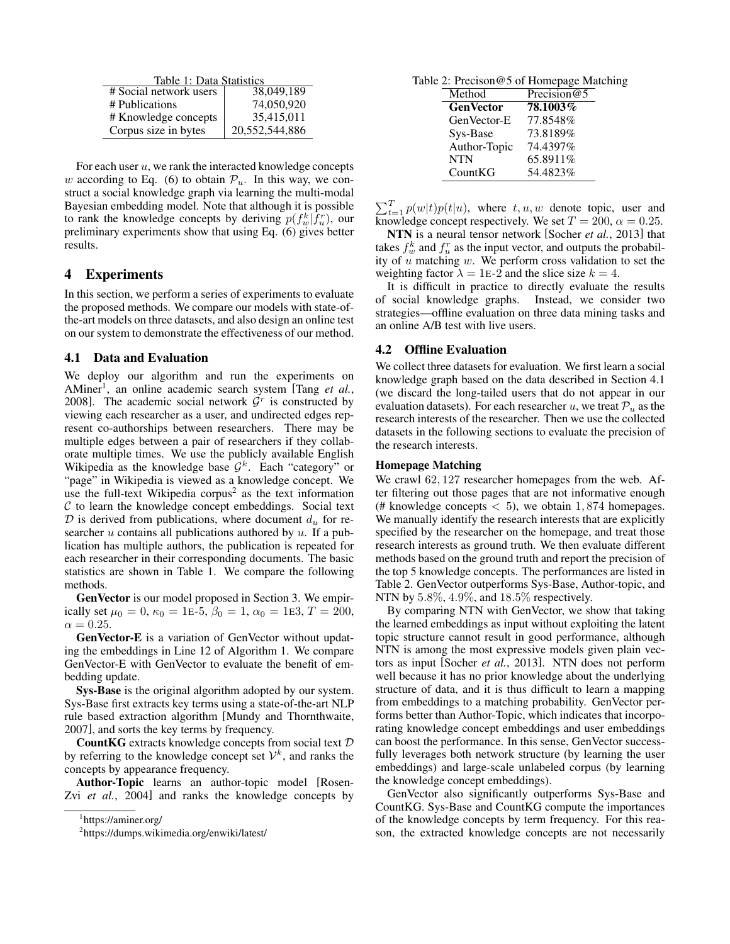Table 1: Data Statistics<br>metwork users  $\frac{38,049,189}{ }$ # Social network users # Publications 74,050,920  $\begin{array}{c|c|c|c|c} \n\text{H} & \text{Knowledge concepts} & \text{35,415,011} \\ \n\text{Corpus size in bytes} & \text{20,552,544,886} \n\end{array}$ Corpus size in bytes

For each user  $u$ , we rank the interacted knowledge concepts w according to Eq. (6) to obtain  $\mathcal{P}_u$ . In this way, we construct a social knowledge graph via learning the multi-modal Bayesian embedding model. Note that although it is possible to rank the knowledge concepts by deriving  $p(f_w^k|\bar{f}_u^r)$ , our preliminary experiments show that using Eq. (6) gives better results.

# 4 Experiments

In this section, we perform a series of experiments to evaluate the proposed methods. We compare our models with state-ofthe-art models on three datasets, and also design an online test on our system to demonstrate the effectiveness of our method.

#### 4.1 Data and Evaluation

We deploy our algorithm and run the experiments on AMiner<sup>1</sup>, an online academic search system [Tang et al., 2008]. The academic social network  $G<sup>r</sup>$  is constructed by viewing each researcher as a user, and undirected edges represent co-authorships between researchers. There may be multiple edges between a pair of researchers if they collaborate multiple times. We use the publicly available English Wikipedia as the knowledge base  $\mathcal{G}^k$ . Each "category" or "page" in Wikipedia is viewed as a knowledge concept. We use the full-text Wikipedia corpus<sup>2</sup> as the text information  $C$  to learn the knowledge concept embeddings. Social text  $\mathcal D$  is derived from publications, where document  $d_u$  for researcher  $u$  contains all publications authored by  $u$ . If a publication has multiple authors, the publication is repeated for each researcher in their corresponding documents. The basic statistics are shown in Table 1. We compare the following methods.

GenVector is our model proposed in Section 3. We empirically set  $\mu_0 = 0$ ,  $\kappa_0 = 1$ E-5,  $\beta_0 = 1$ ,  $\alpha_0 = 1$ E3,  $T = 200$ ,  $\alpha = 0.25$ .

GenVector-E is a variation of GenVector without updating the embeddings in Line 12 of Algorithm 1. We compare GenVector-E with GenVector to evaluate the benefit of embedding update.

Sys-Base is the original algorithm adopted by our system. Sys-Base first extracts key terms using a state-of-the-art NLP rule based extraction algorithm [Mundy and Thornthwaite, 2007], and sorts the key terms by frequency.

CountKG extracts knowledge concepts from social text D by referring to the knowledge concept set  $\mathcal{V}^k$ , and ranks the concepts by appearance frequency.

Author-Topic learns an author-topic model [Rosen-Zvi *et al.*, 2004] and ranks the knowledge concepts by

Table 2: Precison@5 of Homepage Matching

| Method           | Precision $@5$ |
|------------------|----------------|
| <b>GenVector</b> | 78.1003%       |
| GenVector-E      | 77.8548%       |
| Sys-Base         | 73.8189%       |
| Author-Topic     | 74.4397%       |
| <b>NTN</b>       | 65.8911%       |
| CountKG          | 54.4823%       |

 $\sum_{t=1}^{T} p(w|t) p(t|u)$ , where  $t, u, w$  denote topic, user and knowledge concept respectively. We set  $T = 200$ ,  $\alpha = 0.25$ .

NTN is a neural tensor network [Socher *et al.*, 2013] that takes  $f_w^k$  and  $f_u^r$  as the input vector, and outputs the probability of  $u$  matching  $w$ . We perform cross validation to set the weighting factor  $\lambda = 1E-2$  and the slice size  $k = 4$ .

It is difficult in practice to directly evaluate the results of social knowledge graphs. Instead, we consider two strategies—offline evaluation on three data mining tasks and an online A/B test with live users.

#### 4.2 Offline Evaluation

We collect three datasets for evaluation. We first learn a social knowledge graph based on the data described in Section 4.1 (we discard the long-tailed users that do not appear in our evaluation datasets). For each researcher u, we treat  $P_u$  as the research interests of the researcher. Then we use the collected datasets in the following sections to evaluate the precision of the research interests.

#### Homepage Matching

We crawl 62, 127 researcher homepages from the web. After filtering out those pages that are not informative enough (# knowledge concepts  $< 5$ ), we obtain 1,874 homepages. We manually identify the research interests that are explicitly specified by the researcher on the homepage, and treat those research interests as ground truth. We then evaluate different methods based on the ground truth and report the precision of the top 5 knowledge concepts. The performances are listed in Table 2. GenVector outperforms Sys-Base, Author-topic, and NTN by 5.8%, 4.9%, and 18.5% respectively.

By comparing NTN with GenVector, we show that taking the learned embeddings as input without exploiting the latent topic structure cannot result in good performance, although NTN is among the most expressive models given plain vectors as input [Socher *et al.*, 2013]. NTN does not perform well because it has no prior knowledge about the underlying structure of data, and it is thus difficult to learn a mapping from embeddings to a matching probability. GenVector performs better than Author-Topic, which indicates that incorporating knowledge concept embeddings and user embeddings can boost the performance. In this sense, GenVector successfully leverages both network structure (by learning the user embeddings) and large-scale unlabeled corpus (by learning the knowledge concept embeddings).

GenVector also significantly outperforms Sys-Base and CountKG. Sys-Base and CountKG compute the importances of the knowledge concepts by term frequency. For this reason, the extracted knowledge concepts are not necessarily

<sup>1</sup> https://aminer.org/

<sup>&</sup>lt;sup>2</sup>https://dumps.wikimedia.org/enwiki/latest/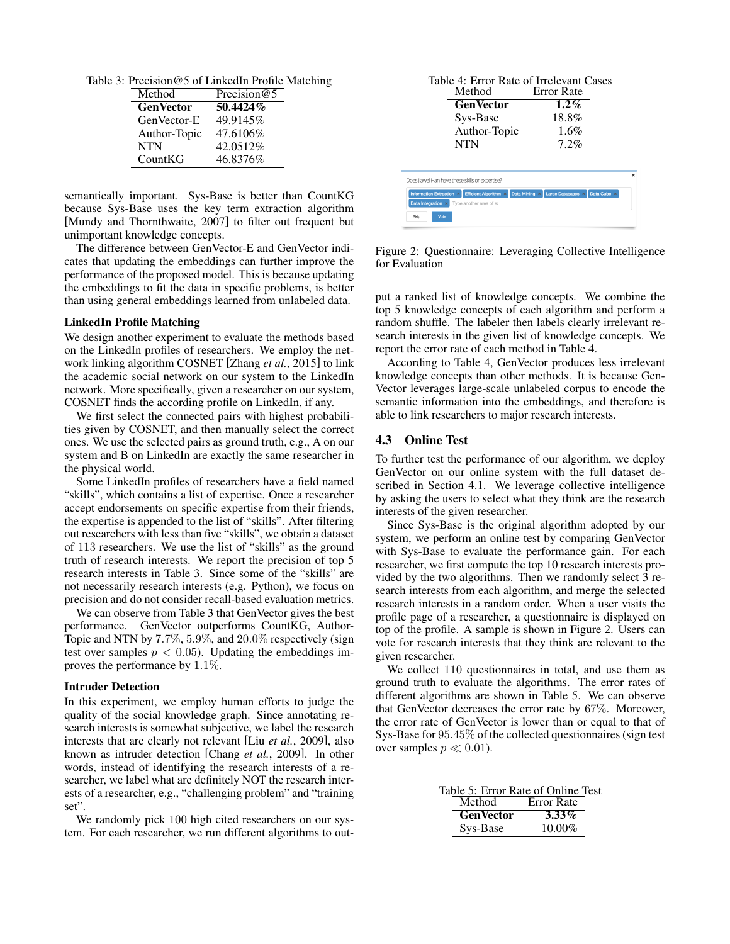Table 3: Precision@5 of LinkedIn Profile Matching

| Method           | Precision $@5$ |
|------------------|----------------|
| <b>GenVector</b> | $50.4424\%$    |
| GenVector-E      | 49.9145%       |
| Author-Topic     | 47.6106%       |
| <b>NTN</b>       | 42.0512%       |
| CountKG          | 46.8376%       |

semantically important. Sys-Base is better than CountKG because Sys-Base uses the key term extraction algorithm [Mundy and Thornthwaite, 2007] to filter out frequent but unimportant knowledge concepts.

The difference between GenVector-E and GenVector indicates that updating the embeddings can further improve the performance of the proposed model. This is because updating the embeddings to fit the data in specific problems, is better than using general embeddings learned from unlabeled data.

#### LinkedIn Profile Matching

We design another experiment to evaluate the methods based on the LinkedIn profiles of researchers. We employ the network linking algorithm COSNET [Zhang *et al.*, 2015] to link the academic social network on our system to the LinkedIn network. More specifically, given a researcher on our system, COSNET finds the according profile on LinkedIn, if any.

We first select the connected pairs with highest probabilities given by COSNET, and then manually select the correct ones. We use the selected pairs as ground truth, e.g., A on our system and B on LinkedIn are exactly the same researcher in the physical world.

Some LinkedIn profiles of researchers have a field named "skills", which contains a list of expertise. Once a researcher accept endorsements on specific expertise from their friends, the expertise is appended to the list of "skills". After filtering out researchers with less than five "skills", we obtain a dataset of 113 researchers. We use the list of "skills" as the ground truth of research interests. We report the precision of top 5 research interests in Table 3. Since some of the "skills" are not necessarily research interests (e.g. Python), we focus on precision and do not consider recall-based evaluation metrics.

We can observe from Table 3 that GenVector gives the best performance. GenVector outperforms CountKG, Author-Topic and NTN by 7.7%, 5.9%, and 20.0% respectively (sign test over samples  $p < 0.05$ ). Updating the embeddings improves the performance by 1.1%.

#### Intruder Detection

In this experiment, we employ human efforts to judge the quality of the social knowledge graph. Since annotating research interests is somewhat subjective, we label the research interests that are clearly not relevant [Liu *et al.*, 2009], also known as intruder detection [Chang *et al.*, 2009]. In other words, instead of identifying the research interests of a researcher, we label what are definitely NOT the research interests of a researcher, e.g., "challenging problem" and "training set".

We randomly pick 100 high cited researchers on our system. For each researcher, we run different algorithms to out-



Figure 2: Questionnaire: Leveraging Collective Intelligence for Evaluation

put a ranked list of knowledge concepts. We combine the top 5 knowledge concepts of each algorithm and perform a random shuffle. The labeler then labels clearly irrelevant research interests in the given list of knowledge concepts. We report the error rate of each method in Table 4.

According to Table 4, GenVector produces less irrelevant knowledge concepts than other methods. It is because Gen-Vector leverages large-scale unlabeled corpus to encode the semantic information into the embeddings, and therefore is able to link researchers to major research interests.

#### 4.3 Online Test

To further test the performance of our algorithm, we deploy GenVector on our online system with the full dataset described in Section 4.1. We leverage collective intelligence by asking the users to select what they think are the research interests of the given researcher.

Since Sys-Base is the original algorithm adopted by our system, we perform an online test by comparing GenVector with Sys-Base to evaluate the performance gain. For each researcher, we first compute the top 10 research interests provided by the two algorithms. Then we randomly select 3 research interests from each algorithm, and merge the selected research interests in a random order. When a user visits the profile page of a researcher, a questionnaire is displayed on top of the profile. A sample is shown in Figure 2. Users can vote for research interests that they think are relevant to the given researcher.

We collect 110 questionnaires in total, and use them as ground truth to evaluate the algorithms. The error rates of different algorithms are shown in Table 5. We can observe that GenVector decreases the error rate by 67%. Moreover, the error rate of GenVector is lower than or equal to that of Sys-Base for 95.45% of the collected questionnaires (sign test over samples  $p \ll 0.01$ ).

| Table 5: Error Rate of Online Test |                   |  |
|------------------------------------|-------------------|--|
| Method                             | <b>Error Rate</b> |  |
| <b>GenVector</b>                   | $3.33\%$          |  |
| Sys-Base                           | $10.00\%$         |  |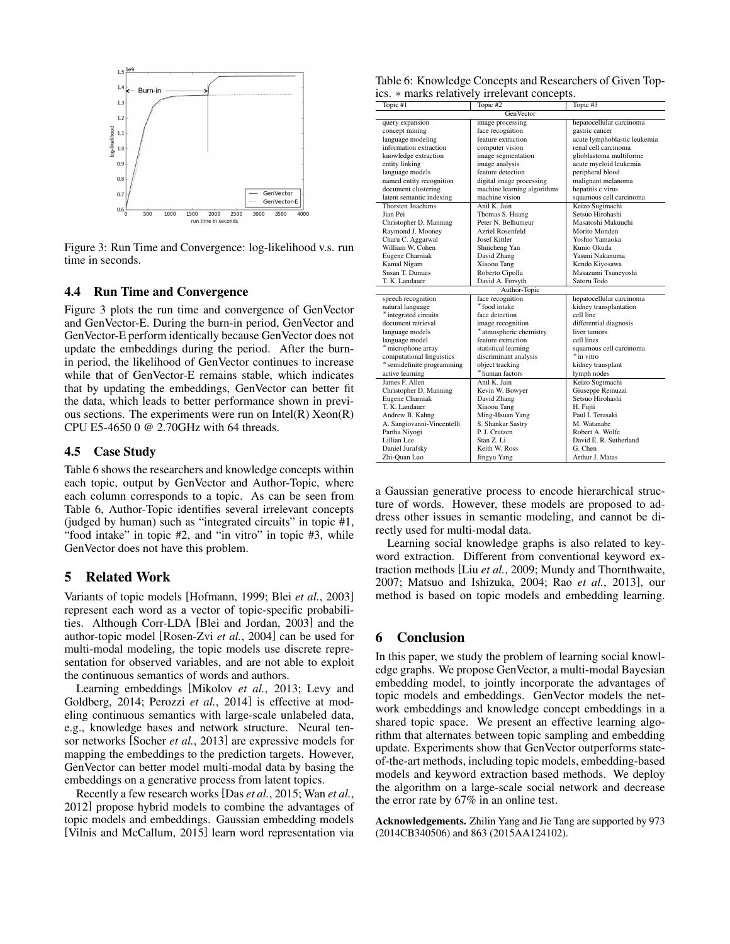

Figure 3: Run Time and Convergence: log-likelihood v.s. run time in seconds.

### 4.4 Run Time and Convergence

Figure 3 plots the run time and convergence of GenVector and GenVector-E. During the burn-in period, GenVector and GenVector-E perform identically because GenVector does not update the embeddings during the period. After the burnin period, the likelihood of GenVector continues to increase while that of GenVector-E remains stable, which indicates that by updating the embeddings, GenVector can better fit the data, which leads to better performance shown in previous sections. The experiments were run on  $Intel(R)$   $Xeon(R)$ CPU E5-4650 0 @ 2.70GHz with 64 threads.

#### 4.5 Case Study

Table 6 shows the researchers and knowledge concepts within each topic, output by GenVector and Author-Topic, where each column corresponds to a topic. As can be seen from Table 6, Author-Topic identifies several irrelevant concepts (judged by human) such as "integrated circuits" in topic #1, "food intake" in topic #2, and "in vitro" in topic #3, while GenVector does not have this problem.

# 5 Related Work

Variants of topic models [Hofmann, 1999; Blei *et al.*, 2003] represent each word as a vector of topic-specific probabilities. Although Corr-LDA [Blei and Jordan, 2003] and the author-topic model [Rosen-Zvi *et al.*, 2004] can be used for multi-modal modeling, the topic models use discrete representation for observed variables, and are not able to exploit the continuous semantics of words and authors.

Learning embeddings [Mikolov *et al.*, 2013; Levy and Goldberg, 2014; Perozzi *et al.*, 2014] is effective at modeling continuous semantics with large-scale unlabeled data, e.g., knowledge bases and network structure. Neural tensor networks [Socher *et al.*, 2013] are expressive models for mapping the embeddings to the prediction targets. However, GenVector can better model multi-modal data by basing the embeddings on a generative process from latent topics.

Recently a few research works [Das *et al.*, 2015; Wan *et al.*, 2012] propose hybrid models to combine the advantages of topic models and embeddings. Gaussian embedding models [Vilnis and McCallum, 2015] learn word representation via

| Table 6: Knowledge Concepts and Researchers of Given Top- |  |
|-----------------------------------------------------------|--|
| ics. * marks relatively irrelevant concepts.              |  |

| Topic #1                   | Topic #2                    | Topic #3                     |  |
|----------------------------|-----------------------------|------------------------------|--|
| GenVector                  |                             |                              |  |
| query expansion            | image processing            | hepatocellular carcinoma     |  |
| concept mining             | face recognition            | gastric cancer               |  |
| language modeling          | feature extraction          | acute lymphoblastic leukemia |  |
| information extraction     | computer vision             | renal cell carcinoma         |  |
| knowledge extraction       | image segmentation          | glioblastoma multiforme      |  |
| entity linking             | image analysis              | acute myeloid leukemia       |  |
| language models            | feature detection           | peripheral blood             |  |
| named entity recognition   | digital image processing    | malignant melanoma           |  |
| document clustering        | machine learning algorithms | hepatitis c virus            |  |
| latent semantic indexing   | machine vision              | squamous cell carcinoma      |  |
| Thorsten Joachims          | Anil K. Jain                | Keizo Sugimachi              |  |
| Jian Pei                   | Thomas S. Huang             | Setsuo Hirohashi             |  |
| Christopher D. Manning     | Peter N. Belhumeur          | Masatoshi Makuuchi           |  |
| Raymond J. Mooney          | Azriel Rosenfeld            | Morito Monden                |  |
| Charu C. Aggarwal          | Josef Kittler               | Yoshio Yamaoka               |  |
| William W. Cohen           | Shuicheng Yan               | Kunio Okuda                  |  |
| Eugene Charniak            | David Zhang                 | Yasuni Nakanuma              |  |
| Kamal Nigam                | Xiaoou Tang                 | Kendo Kiyosawa               |  |
| Susan T. Dumais            | Roberto Cipolla             | Masazumi Tsuneyoshi          |  |
| T. K. Landauer             | David A. Forsyth            | Satoru Todo                  |  |
|                            | Author-Topic                |                              |  |
| speech recognition         | face recognition            | hepatocellular carcinoma     |  |
| natural language           | * food intake               | kidney transplantation       |  |
| * integrated circuits      | face detection              | cell line                    |  |
| document retrieval         | image recognition           | differential diagnosis       |  |
| language models            | * atmospheric chemistry     | liver tumors                 |  |
| language model             | feature extraction          | cell lines                   |  |
| * microphone array         | statistical learning        | squamous cell carcinoma      |  |
| computational linguistics  | discriminant analysis       | * in vitro                   |  |
| * semidefinite programming | object tracking             | kidney transplant            |  |
| active learning            | * human factors             | lymph nodes                  |  |
| James F. Allen             | Anil K. Jain                | Keizo Sugimachi              |  |
| Christopher D. Manning     | Kevin W. Bowyer             | Giuseppe Remuzzi             |  |
| Eugene Charniak            | David Zhang                 | Setsuo Hirohashi             |  |
| T. K. Landauer             | Xiaoou Tang                 | H. Fujii                     |  |
| Andrew B. Kahng            | Ming-Hsuan Yang             | Paul I. Terasaki             |  |
| A. Sangiovanni-Vincentelli | S. Shankar Sastry           | M. Watanabe                  |  |
| Partha Niyogi              | P. J. Crutzen               | Robert A. Wolfe              |  |
| Lillian Lee                | Stan Z. Li                  | David E. R. Sutherland       |  |
| Daniel Jurafsky            | Keith W. Ross               | G. Chen                      |  |
| Zhi-Quan Luo               | Jingvu Yang                 | Arthur J. Matas              |  |

a Gaussian generative process to encode hierarchical structure of words. However, these models are proposed to address other issues in semantic modeling, and cannot be directly used for multi-modal data.

Learning social knowledge graphs is also related to keyword extraction. Different from conventional keyword extraction methods [Liu *et al.*, 2009; Mundy and Thornthwaite, 2007; Matsuo and Ishizuka, 2004; Rao *et al.*, 2013], our method is based on topic models and embedding learning.

# 6 Conclusion

In this paper, we study the problem of learning social knowledge graphs. We propose GenVector, a multi-modal Bayesian embedding model, to jointly incorporate the advantages of topic models and embeddings. GenVector models the network embeddings and knowledge concept embeddings in a shared topic space. We present an effective learning algorithm that alternates between topic sampling and embedding update. Experiments show that GenVector outperforms stateof-the-art methods, including topic models, embedding-based models and keyword extraction based methods. We deploy the algorithm on a large-scale social network and decrease the error rate by 67% in an online test.

Acknowledgements. Zhilin Yang and Jie Tang are supported by 973 (2014CB340506) and 863 (2015AA124102).